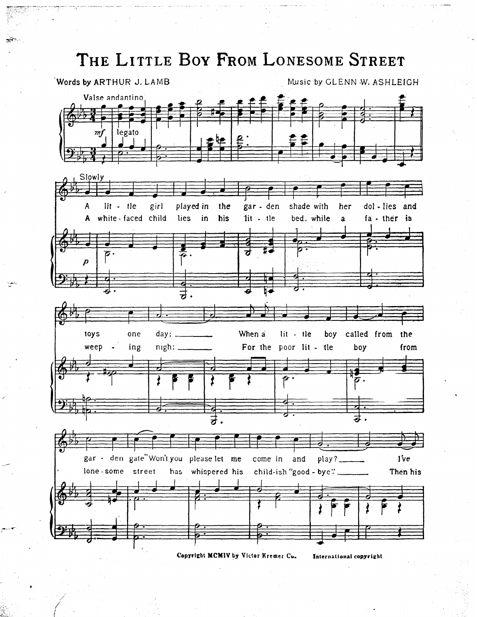## THE LITTLE BOY FROM LONESOME STREET



Copyright MCMIV by Victor Kremer Co.

International copyright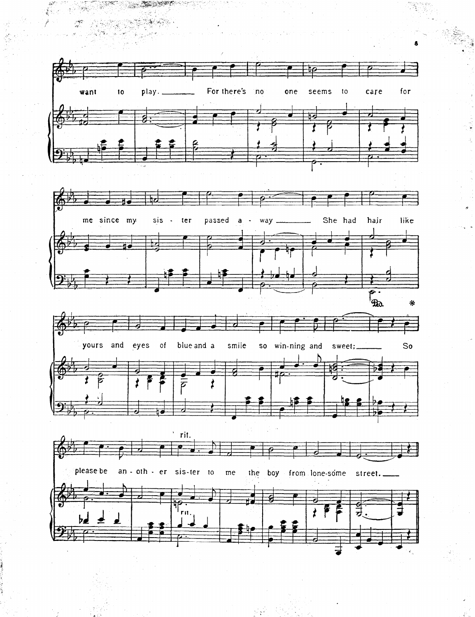